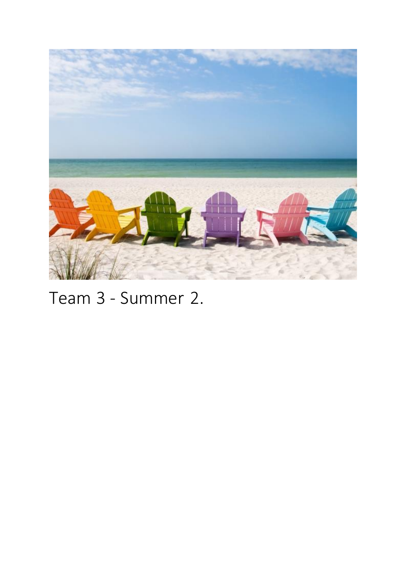

# Team 3 - Summer 2.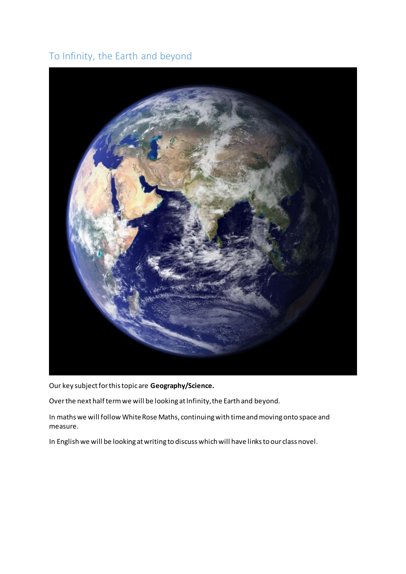#### To Infinity, the Earth and beyond



Our key subject for this topic are **Geography/Science.** 

Over the next half term we will be looking at Infinity, the Earth and beyond.

In maths we will follow White Rose Maths, continuing with time and moving onto space and measure.

In English we will be looking at writing to discuss which will have links to our class novel.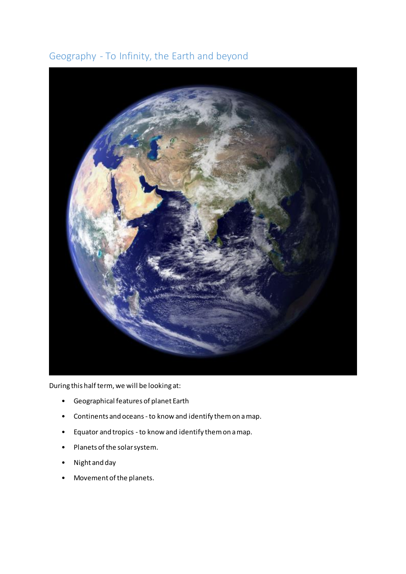#### Geography - To Infinity, the Earth and beyond



During this half term, we will be looking at:

- Geographical features of planet Earth
- Continents and oceans -to know and identify them on a map.
- Equator and tropics -to know and identify them on a map.
- Planets of the solar system.
- Night and day
- Movement of the planets.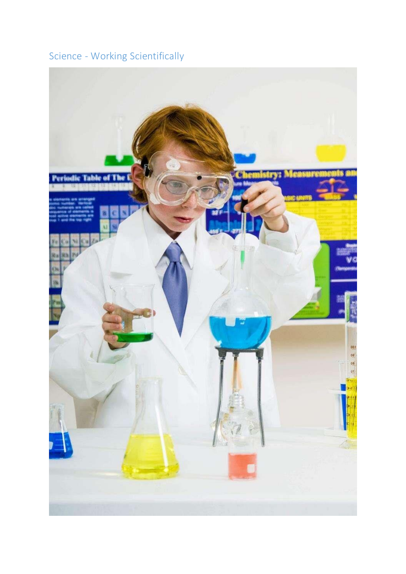# Science - Working Scientifically

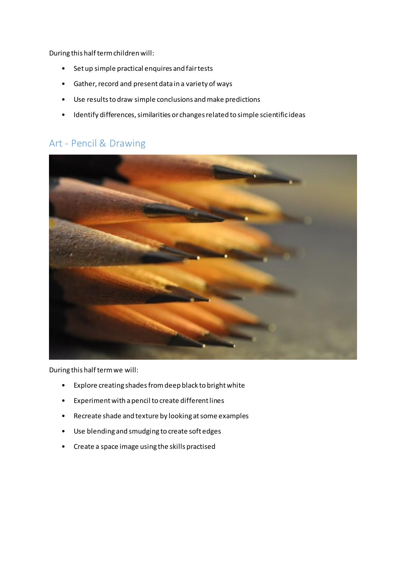During this half term children will:

- Set up simple practical enquires and fair tests
- Gather, record and present data in a variety of ways
- Use results to draw simple conclusions and make predictions
- Identify differences, similarities or changes related to simple scientific ideas

#### Art - Pencil & Drawing



- Explore creating shades from deep black to bright white
- Experiment with a pencil to create different lines
- Recreate shade and texture by looking at some examples
- Use blending and smudging to create soft edges
- Create a space image using the skills practised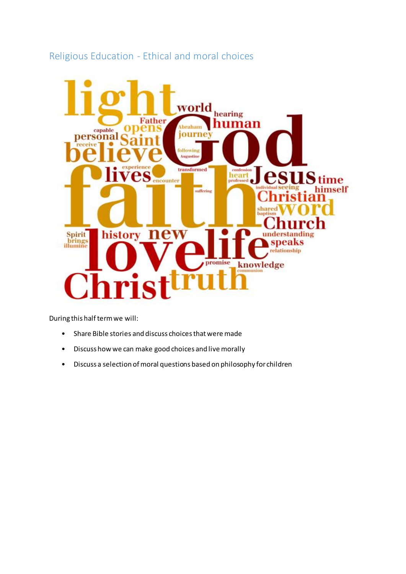#### Religious Education - Ethical and moral choices



- Share Bible stories and discuss choices that were made
- Discuss how we can make good choices and live morally
- Discuss a selection of moral questions based on philosophy for children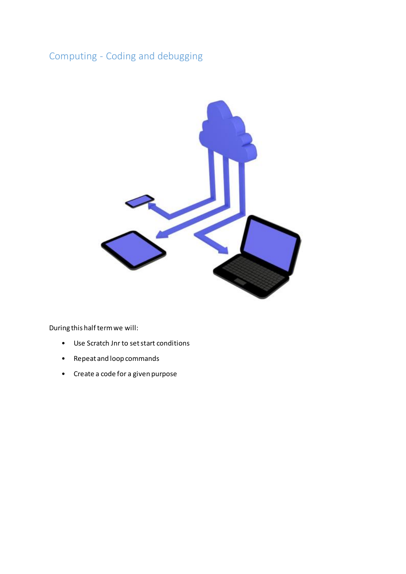### Computing - Coding and debugging



- Use Scratch Jnr to set start conditions
- Repeat and loop commands
- Create a code for a given purpose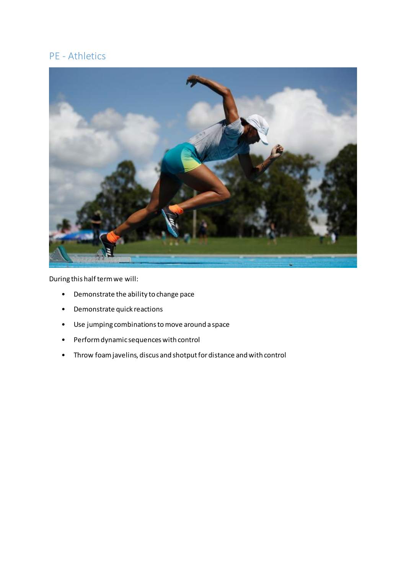#### PE - Athletics



- Demonstrate the ability to change pace
- Demonstrate quick reactions
- Use jumping combinations to move around a space
- Perform dynamic sequences with control
- Throw foam javelins, discus and shotput for distance and with control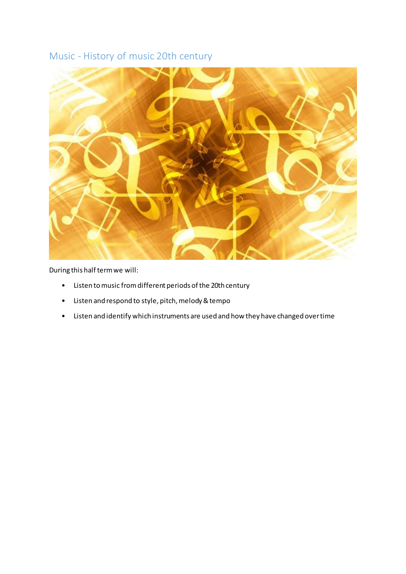#### Music - History of music 20th century



- Listen to music from different periods of the 20th century
- Listen and respond to style, pitch, melody & tempo
- Listen and identify which instruments are used and how they have changed over time